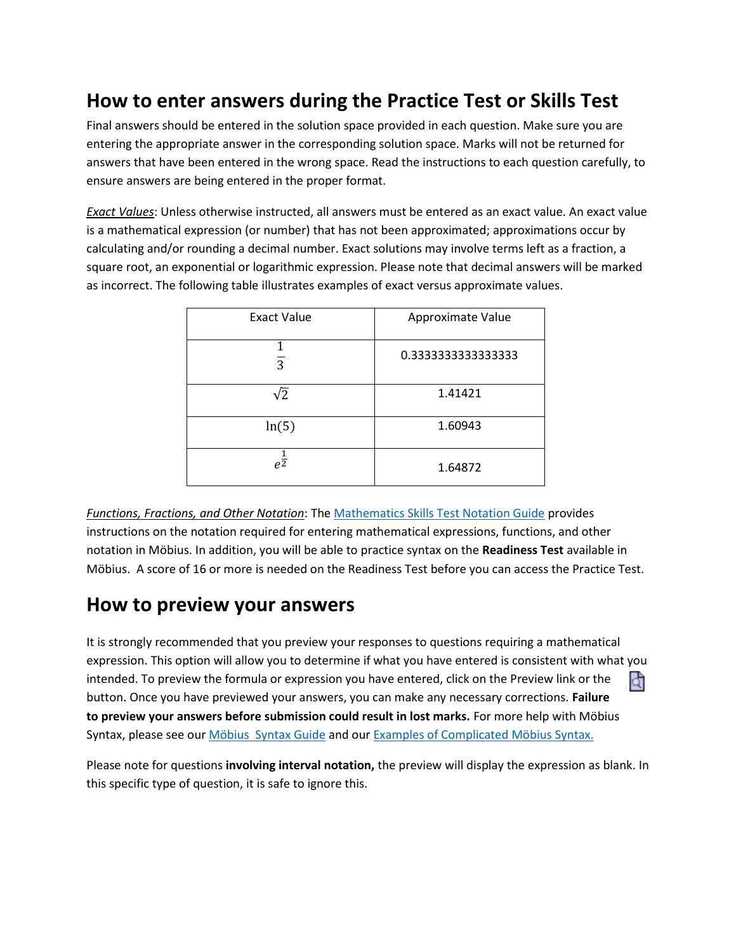## **How to enter answers during the Practice Test or Skills Test**

Final answers should be entered in the solution space provided in each question. Make sure you are entering the appropriate answer in the corresponding solution space. Marks will not be returned for answers that have been entered in the wrong space. Read the instructions to each question carefully, to ensure answers are being entered in the proper format.

*Exact Values*: Unless otherwise instructed, all answers must be entered as an exact value. An exact value is a mathematical expression (or number) that has not been approximated; approximations occur by calculating and/or rounding a decimal number. Exact solutions may involve terms left as a fraction, a square root, an exponential or logarithmic expression. Please note that decimal answers will be marked as incorrect. The following table illustrates examples of exact versus approximate values.

| <b>Exact Value</b> | Approximate Value |
|--------------------|-------------------|
| $\overline{3}$     | 0.333333333333333 |
| $\sqrt{2}$         | 1.41421           |
| ln(5)              | 1.60943           |
| $e^{\frac{1}{2}}$  | 1.64872           |

*Functions, Fractions, and Other Notation*: Th[e Mathematics Skills Test Notation Guide](https://brocku.ca/webfm_send/44403) provides instructions on the notation required for entering mathematical expressions, functions, and other notation in Möbius. In addition, you will be able to practice syntax on the **Readiness Test** available in Möbius. A score of 16 or more is needed on the Readiness Test before you can access the Practice Test.

## **How to preview your answers**

It is strongly recommended that you preview your responses to questions requiring a mathematical expression. This option will allow you to determine if what you have entered is consistent with what you intended. To preview the formula or expression you have entered, click on the Preview link or the đ button. Once you have previewed your answers, you can make any necessary corrections. **Failure to preview your answers before submission could result in lost marks.** For more help with Möbius Syntax, please see ou[r Möbius Syntax Guide](https://brocku.ca/webfm_send/44403) and ou[r Examples of Complicated Möbius](https://www.brocku.ca/mathematics-science/mathematics/wp-content/uploads/sites/107/Examples-of-complicated-Maple-T.pdf) Syntax.

Please note for questions **involving interval notation,** the preview will display the expression as blank. In this specific type of question, it is safe to ignore this.